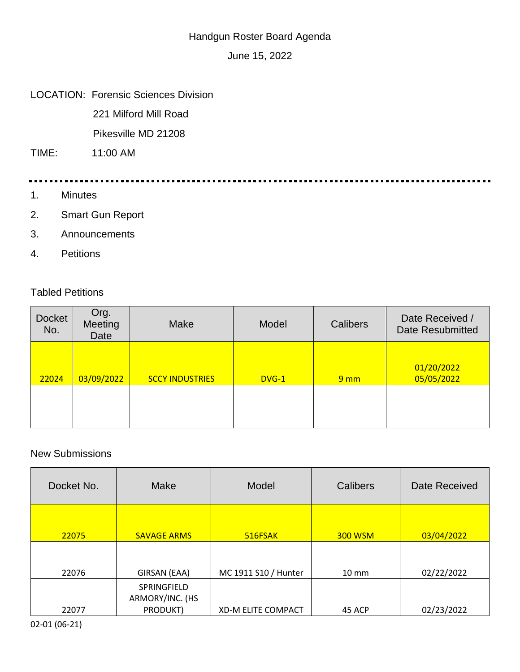## Handgun Roster Board Agenda

June 15, 2022

## LOCATION: Forensic Sciences Division

221 Milford Mill Road

Pikesville MD 21208

TIME: 11:00 AM

- 1. Minutes
- 2. Smart Gun Report
- 3. Announcements
- 4. Petitions

## Tabled Petitions

| <b>Docket</b><br>No. | Org.<br>Meeting<br>Date | Make                   | Model   | Calibers        | Date Received /<br><b>Date Resubmitted</b> |
|----------------------|-------------------------|------------------------|---------|-----------------|--------------------------------------------|
| 22024                | 03/09/2022              | <b>SCCY INDUSTRIES</b> | $DVG-1$ | 9 <sub>mm</sub> | 01/20/2022<br>05/05/2022                   |
|                      |                         |                        |         |                 |                                            |

## New Submissions

| Docket No. | Make                                       | Model                     | Calibers        | Date Received |
|------------|--------------------------------------------|---------------------------|-----------------|---------------|
| 22075      | <b>SAVAGE ARMS</b>                         | 516FSAK                   | <b>300 WSM</b>  | 03/04/2022    |
| 22076      | GIRSAN (EAA)                               | MC 1911 S10 / Hunter      | $10 \text{ mm}$ | 02/22/2022    |
| 22077      | SPRINGFIELD<br>ARMORY/INC. (HS<br>PRODUKT) | <b>XD-M ELITE COMPACT</b> | 45 ACP          | 02/23/2022    |

02-01 (06-21)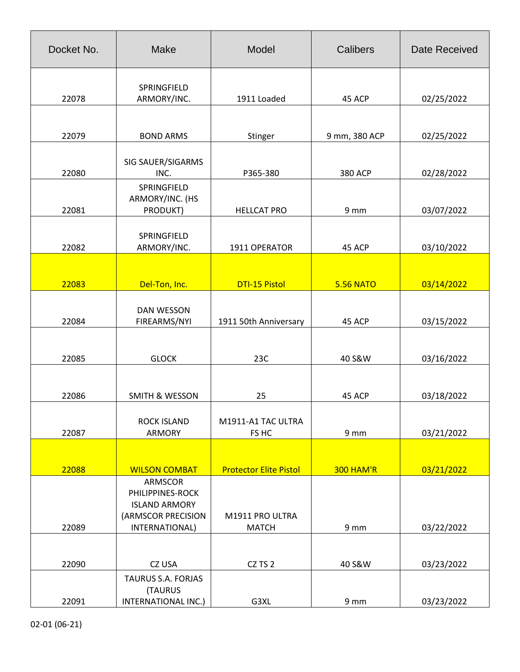| Docket No. | <b>Make</b>                                                                                       | Model                                            | <b>Calibers</b>  | <b>Date Received</b> |
|------------|---------------------------------------------------------------------------------------------------|--------------------------------------------------|------------------|----------------------|
|            | SPRINGFIELD                                                                                       |                                                  |                  |                      |
| 22078      | ARMORY/INC.                                                                                       | 1911 Loaded                                      | 45 ACP           | 02/25/2022           |
|            |                                                                                                   |                                                  |                  |                      |
| 22079      | <b>BOND ARMS</b>                                                                                  | Stinger                                          | 9 mm, 380 ACP    | 02/25/2022           |
| 22080      | SIG SAUER/SIGARMS<br>INC.                                                                         | P365-380                                         | <b>380 ACP</b>   | 02/28/2022           |
| 22081      | SPRINGFIELD<br>ARMORY/INC. (HS<br>PRODUKT)                                                        | <b>HELLCAT PRO</b>                               | 9 mm             | 03/07/2022           |
| 22082      | SPRINGFIELD<br>ARMORY/INC.                                                                        | 1911 OPERATOR                                    | 45 ACP           | 03/10/2022           |
| 22083      | Del-Ton, Inc.                                                                                     | <b>DTI-15 Pistol</b>                             | <b>5.56 NATO</b> | 03/14/2022           |
| 22084      | DAN WESSON<br>FIREARMS/NYI                                                                        | 1911 50th Anniversary                            | 45 ACP           | 03/15/2022           |
| 22085      | <b>GLOCK</b>                                                                                      | 23C                                              | 40 S&W           | 03/16/2022           |
| 22086      | <b>SMITH &amp; WESSON</b>                                                                         | 25                                               | 45 ACP           | 03/18/2022           |
| 22087      | <b>ROCK ISLAND</b><br>ARMORY                                                                      | M1911-A1 TAC ULTRA<br>FS HC                      | 9 mm             | 03/21/2022           |
|            |                                                                                                   |                                                  |                  |                      |
| 22088      | <b>WILSON COMBAT</b><br>ARMSCOR<br>PHILIPPINES-ROCK<br><b>ISLAND ARMORY</b><br>(ARMSCOR PRECISION | <b>Protector Elite Pistol</b><br>M1911 PRO ULTRA | <b>300 HAM'R</b> | 03/21/2022           |
| 22089      | INTERNATIONAL)                                                                                    | <b>MATCH</b>                                     | 9 mm             | 03/22/2022           |
|            |                                                                                                   |                                                  |                  |                      |
| 22090      | CZ USA                                                                                            | CZ TS 2                                          | 40 S&W           | 03/23/2022           |
| 22091      | TAURUS S.A. FORJAS<br>(TAURUS<br>INTERNATIONAL INC.)                                              | G3XL                                             | 9 mm             | 03/23/2022           |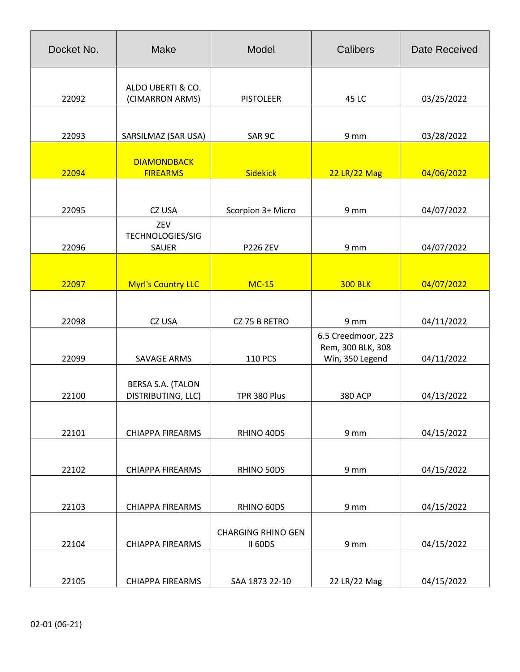| Docket No. | <b>Make</b>                             | Model                                       | Calibers                                                   | <b>Date Received</b> |
|------------|-----------------------------------------|---------------------------------------------|------------------------------------------------------------|----------------------|
| 22092      | ALDO UBERTI & CO.<br>(CIMARRON ARMS)    | <b>PISTOLEER</b>                            | 45 LC                                                      | 03/25/2022           |
| 22093      | SARSILMAZ (SAR USA)                     | SAR 9C                                      | 9 mm                                                       | 03/28/2022           |
| 22094      | <b>DIAMONDBACK</b><br><b>FIREARMS</b>   | <b>Sidekick</b>                             | 22 LR/22 Mag                                               | 04/06/2022           |
| 22095      | CZ USA                                  | Scorpion 3+ Micro                           | 9 mm                                                       | 04/07/2022           |
| 22096      | ZEV<br>TECHNOLOGIES/SIG<br>SAUER        | <b>P226 ZEV</b>                             | 9 mm                                                       | 04/07/2022           |
| 22097      | <b>Myrl's Country LLC</b>               | $MC-15$                                     | <b>300 BLK</b>                                             | 04/07/2022           |
| 22098      | CZ USA                                  | CZ 75 B RETRO                               | 9 mm                                                       | 04/11/2022           |
| 22099      | <b>SAVAGE ARMS</b>                      | <b>110 PCS</b>                              | 6.5 Creedmoor, 223<br>Rem, 300 BLK, 308<br>Win, 350 Legend | 04/11/2022           |
| 22100      | BERSA S.A. (TALON<br>DISTRIBUTING, LLC) | TPR 380 Plus                                | <b>380 ACP</b>                                             | 04/13/2022           |
| 22101      | <b>CHIAPPA FIREARMS</b>                 | RHINO 40DS                                  | 9 mm                                                       | 04/15/2022           |
| 22102      | <b>CHIAPPA FIREARMS</b>                 | RHINO 50DS                                  | 9 mm                                                       | 04/15/2022           |
| 22103      | <b>CHIAPPA FIREARMS</b>                 | RHINO 60DS                                  | 9 mm                                                       | 04/15/2022           |
| 22104      | <b>CHIAPPA FIREARMS</b>                 | <b>CHARGING RHINO GEN</b><br><b>II 60DS</b> | 9 mm                                                       | 04/15/2022           |
| 22105      | <b>CHIAPPA FIREARMS</b>                 | SAA 1873 22-10                              | 22 LR/22 Mag                                               | 04/15/2022           |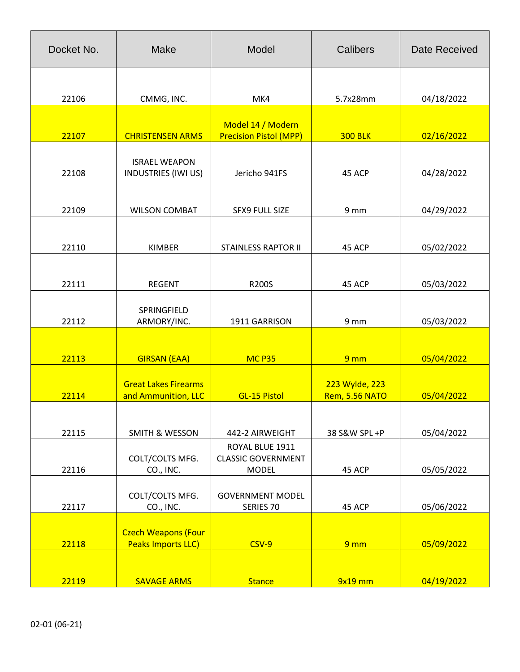| Docket No. | <b>Make</b>                                             | Model                                                        | Calibers                         | <b>Date Received</b> |
|------------|---------------------------------------------------------|--------------------------------------------------------------|----------------------------------|----------------------|
| 22106      | CMMG, INC.                                              | MK4                                                          | 5.7x28mm                         | 04/18/2022           |
| 22107      | <b>CHRISTENSEN ARMS</b>                                 | Model 14 / Modern<br><b>Precision Pistol (MPP)</b>           | <b>300 BLK</b>                   | 02/16/2022           |
| 22108      | <b>ISRAEL WEAPON</b><br><b>INDUSTRIES (IWI US)</b>      | Jericho 941FS                                                | 45 ACP                           | 04/28/2022           |
| 22109      | <b>WILSON COMBAT</b>                                    | <b>SFX9 FULL SIZE</b>                                        | 9 mm                             | 04/29/2022           |
| 22110      | <b>KIMBER</b>                                           | <b>STAINLESS RAPTOR II</b>                                   | 45 ACP                           | 05/02/2022           |
| 22111      | <b>REGENT</b>                                           | R200S                                                        | 45 ACP                           | 05/03/2022           |
| 22112      | SPRINGFIELD<br>ARMORY/INC.                              | 1911 GARRISON                                                | 9 mm                             | 05/03/2022           |
| 22113      | <b>GIRSAN (EAA)</b>                                     | <b>MC P35</b>                                                | 9 <sub>mm</sub>                  | 05/04/2022           |
| 22114      | <b>Great Lakes Firearms</b><br>and Ammunition, LLC      | <b>GL-15 Pistol</b>                                          | 223 Wylde, 223<br>Rem, 5.56 NATO | 05/04/2022           |
| 22115      | <b>SMITH &amp; WESSON</b>                               | 442-2 AIRWEIGHT                                              | 38 S&W SPL +P                    | 05/04/2022           |
| 22116      | COLT/COLTS MFG.<br>CO., INC.                            | ROYAL BLUE 1911<br><b>CLASSIC GOVERNMENT</b><br><b>MODEL</b> | 45 ACP                           | 05/05/2022           |
| 22117      | COLT/COLTS MFG.<br>CO., INC.                            | <b>GOVERNMENT MODEL</b><br>SERIES 70                         | 45 ACP                           | 05/06/2022           |
| 22118      | <b>Czech Weapons (Four</b><br><b>Peaks Imports LLC)</b> | $CSV-9$                                                      | 9 <sub>mm</sub>                  | 05/09/2022           |
| 22119      | <b>SAVAGE ARMS</b>                                      | <b>Stance</b>                                                | $9x19$ mm                        | 04/19/2022           |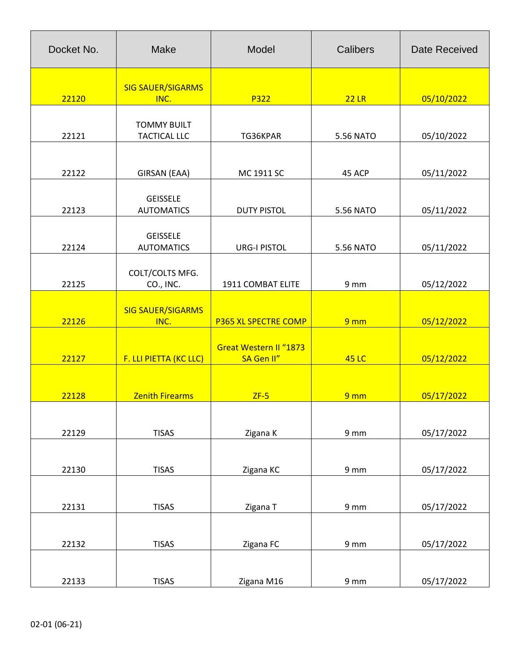| Docket No. | Make                                      | Model                                       | <b>Calibers</b>  | <b>Date Received</b> |
|------------|-------------------------------------------|---------------------------------------------|------------------|----------------------|
| 22120      | <b>SIG SAUER/SIGARMS</b><br>INC.          | P322                                        | 22LR             | 05/10/2022           |
| 22121      | <b>TOMMY BUILT</b><br><b>TACTICAL LLC</b> | TG36KPAR                                    | <b>5.56 NATO</b> | 05/10/2022           |
| 22122      | GIRSAN (EAA)                              | MC 1911 SC                                  | 45 ACP           | 05/11/2022           |
| 22123      | <b>GEISSELE</b><br><b>AUTOMATICS</b>      | <b>DUTY PISTOL</b>                          | <b>5.56 NATO</b> | 05/11/2022           |
| 22124      | <b>GEISSELE</b><br><b>AUTOMATICS</b>      | <b>URG-I PISTOL</b>                         | <b>5.56 NATO</b> | 05/11/2022           |
| 22125      | COLT/COLTS MFG.<br>CO., INC.              | 1911 COMBAT ELITE                           | 9 mm             | 05/12/2022           |
| 22126      | <b>SIG SAUER/SIGARMS</b><br>INC.          | <b>P365 XL SPECTRE COMP</b>                 | 9 <sub>mm</sub>  | 05/12/2022           |
| 22127      | F. LLI PIETTA (KC LLC)                    | <b>Great Western II "1873</b><br>SA Gen II" | <b>45 LC</b>     | 05/12/2022           |
| 22128      | <b>Zenith Firearms</b>                    | $ZF-5$                                      | 9 <sub>mm</sub>  | 05/17/2022           |
| 22129      | <b>TISAS</b>                              | Zigana K                                    | 9 mm             | 05/17/2022           |
| 22130      | <b>TISAS</b>                              | Zigana KC                                   | 9 mm             | 05/17/2022           |
| 22131      | <b>TISAS</b>                              | Zigana T                                    | 9 mm             | 05/17/2022           |
| 22132      | <b>TISAS</b>                              | Zigana FC                                   | 9 mm             | 05/17/2022           |
| 22133      | <b>TISAS</b>                              | Zigana M16                                  | 9 mm             | 05/17/2022           |